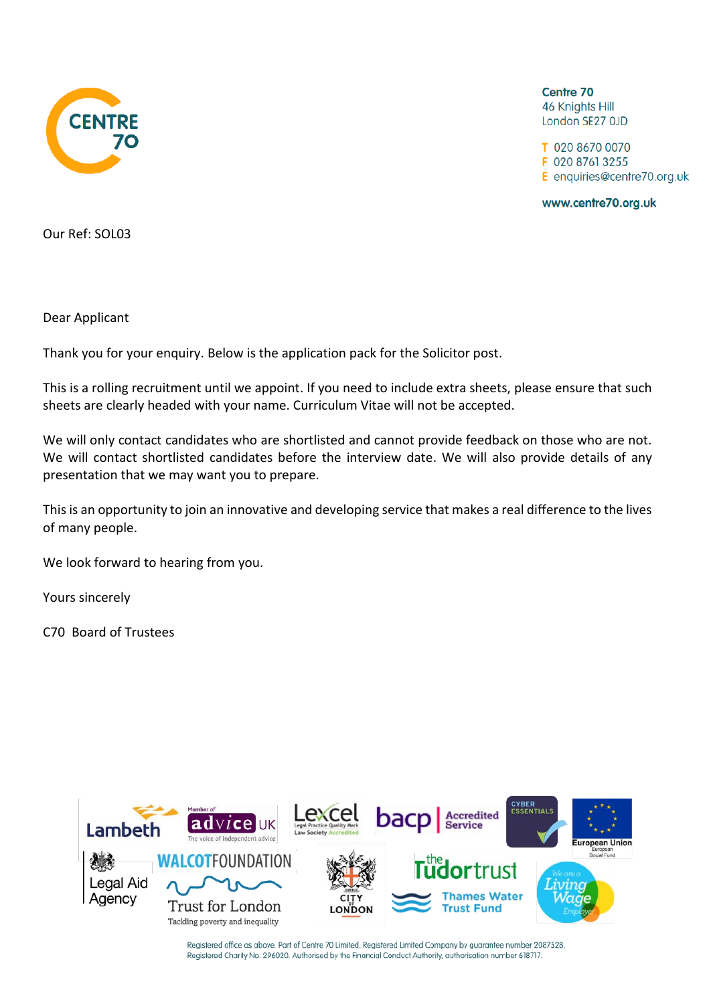

Centre 70 **46 Knights Hill** London SE27 OJD

T 020 8670 0070 F 020 8761 3255 E enquiries@centre70.org.uk

www.centre70.org.uk

Our Ref: SOL03

Dear Applicant

Thank you for your enquiry. Below is the application pack for the Solicitor post.

This is a rolling recruitment until we appoint. If you need to include extra sheets, please ensure that such sheets are clearly headed with your name. Curriculum Vitae will not be accepted.

We will only contact candidates who are shortlisted and cannot provide feedback on those who are not. We will contact shortlisted candidates before the interview date. We will also provide details of any presentation that we may want you to prepare.

This is an opportunity to join an innovative and developing service that makes a real difference to the lives of many people.

We look forward to hearing from you.

Yours sincerely

C70 Board of Trustees



Registered office as above. Part of Centre 70 Limited. Registered Limited Company by guarantee number 2087528. Registered Charity No. 296020. Authorised by the Financial Conduct Authority, authorisation number 618717.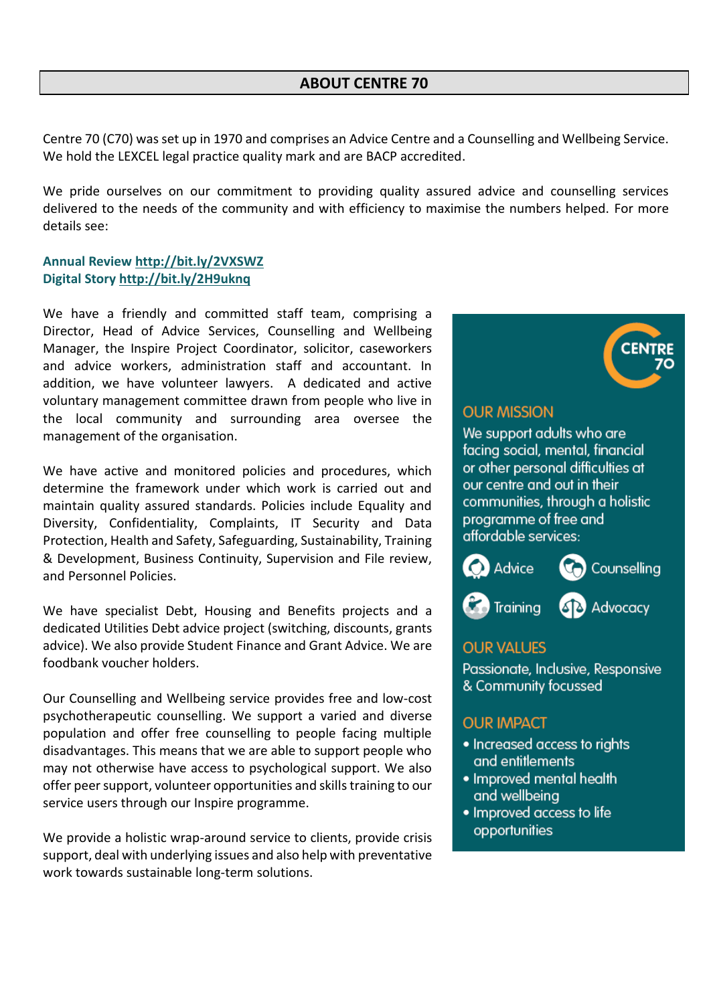Centre 70 (C70) was set up in 1970 and comprises an Advice Centre and a Counselling and Wellbeing Service. We hold the LEXCEL legal practice quality mark and are BACP accredited.

We pride ourselves on our commitment to providing quality assured advice and counselling services delivered to the needs of the community and with efficiency to maximise the numbers helped. For more details see:

#### **Annual Review<http://bit.ly/2VXSWZ> Digital Story<http://bit.ly/2H9uknq>**

We have a friendly and committed staff team, comprising a Director, Head of Advice Services, Counselling and Wellbeing Manager, the Inspire Project Coordinator, solicitor, caseworkers and advice workers, administration staff and accountant. In addition, we have volunteer lawyers. A dedicated and active voluntary management committee drawn from people who live in the local community and surrounding area oversee the management of the organisation.

We have active and monitored policies and procedures, which determine the framework under which work is carried out and maintain quality assured standards. Policies include Equality and Diversity, Confidentiality, Complaints, IT Security and Data Protection, Health and Safety, Safeguarding, Sustainability, Training & Development, Business Continuity, Supervision and File review, and Personnel Policies.

We have specialist Debt, Housing and Benefits projects and a dedicated Utilities Debt advice project (switching, discounts, grants advice). We also provide Student Finance and Grant Advice. We are foodbank voucher holders.

Our Counselling and Wellbeing service provides free and low-cost psychotherapeutic counselling. We support a varied and diverse population and offer free counselling to people facing multiple disadvantages. This means that we are able to support people who may not otherwise have access to psychological support. We also offer peer support, volunteer opportunities and skills training to our service users through our Inspire programme.

We provide a holistic wrap-around service to clients, provide crisis support, deal with underlying issues and also help with preventative work towards sustainable long-term solutions.



#### **OUR MISSION**

We support adults who are facing social, mental, financial or other personal difficulties at our centre and out in their communities, through a holistic programme of free and affordable services:



#### **OUR VALUES**

Passionate, Inclusive, Responsive & Community focussed

#### **OUR IMPACT**

- Increased access to rights and entitlements
- Improved mental health and wellbeing
- Improved access to life opportunities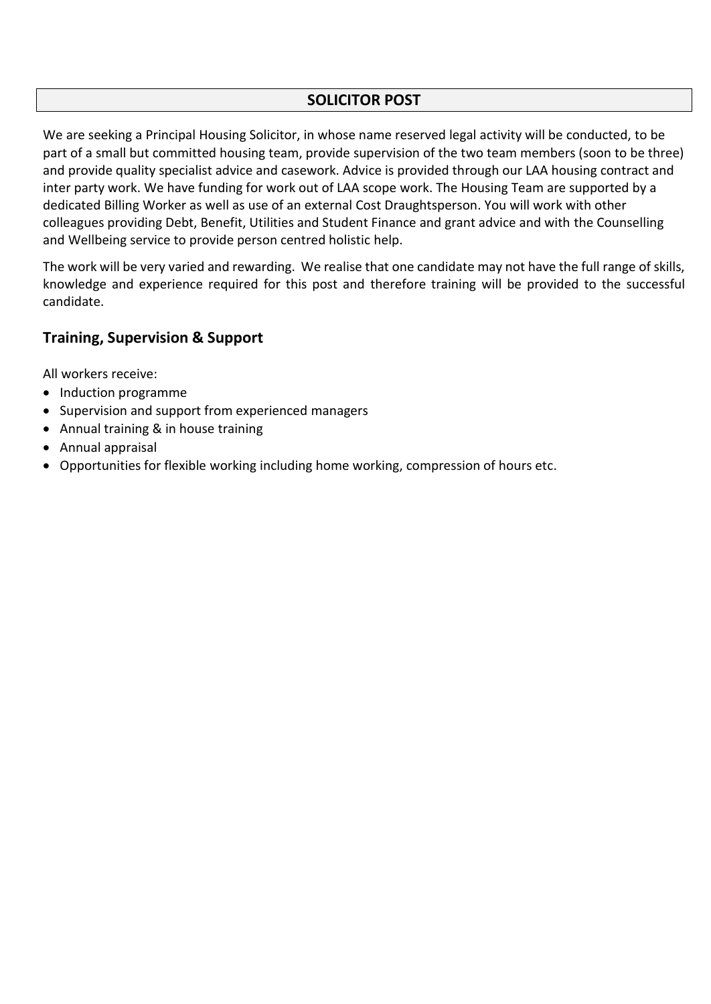#### **SOLICITOR POST**

We are seeking a Principal Housing Solicitor, in whose name reserved legal activity will be conducted, to be part of a small but committed housing team, provide supervision of the two team members (soon to be three) and provide quality specialist advice and casework. Advice is provided through our LAA housing contract and inter party work. We have funding for work out of LAA scope work. The Housing Team are supported by a dedicated Billing Worker as well as use of an external Cost Draughtsperson. You will work with other colleagues providing Debt, Benefit, Utilities and Student Finance and grant advice and with the Counselling and Wellbeing service to provide person centred holistic help.

The work will be very varied and rewarding. We realise that one candidate may not have the full range of skills, knowledge and experience required for this post and therefore training will be provided to the successful candidate.

#### **Training, Supervision & Support**

All workers receive:

- Induction programme
- Supervision and support from experienced managers
- Annual training & in house training
- Annual appraisal
- Opportunities for flexible working including home working, compression of hours etc.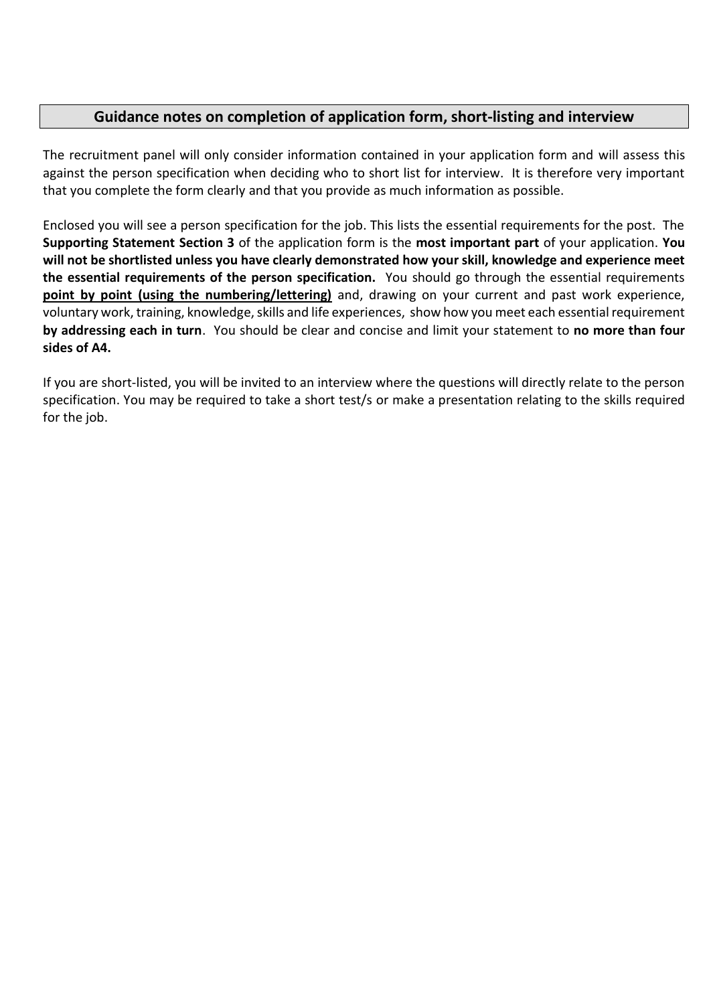#### **Guidance notes on completion of application form, short-listing and interview**

The recruitment panel will only consider information contained in your application form and will assess this against the person specification when deciding who to short list for interview. It is therefore very important that you complete the form clearly and that you provide as much information as possible.

Enclosed you will see a person specification for the job. This lists the essential requirements for the post. The **Supporting Statement Section 3** of the application form is the **most important part** of your application. **You will not be shortlisted unless you have clearly demonstrated how your skill, knowledge and experience meet the essential requirements of the person specification.** You should go through the essential requirements **point by point (using the numbering/lettering)** and, drawing on your current and past work experience, voluntary work, training, knowledge, skills and life experiences, show how you meet each essential requirement **by addressing each in turn**. You should be clear and concise and limit your statement to **no more than four sides of A4.**

If you are short-listed, you will be invited to an interview where the questions will directly relate to the person specification. You may be required to take a short test/s or make a presentation relating to the skills required for the job.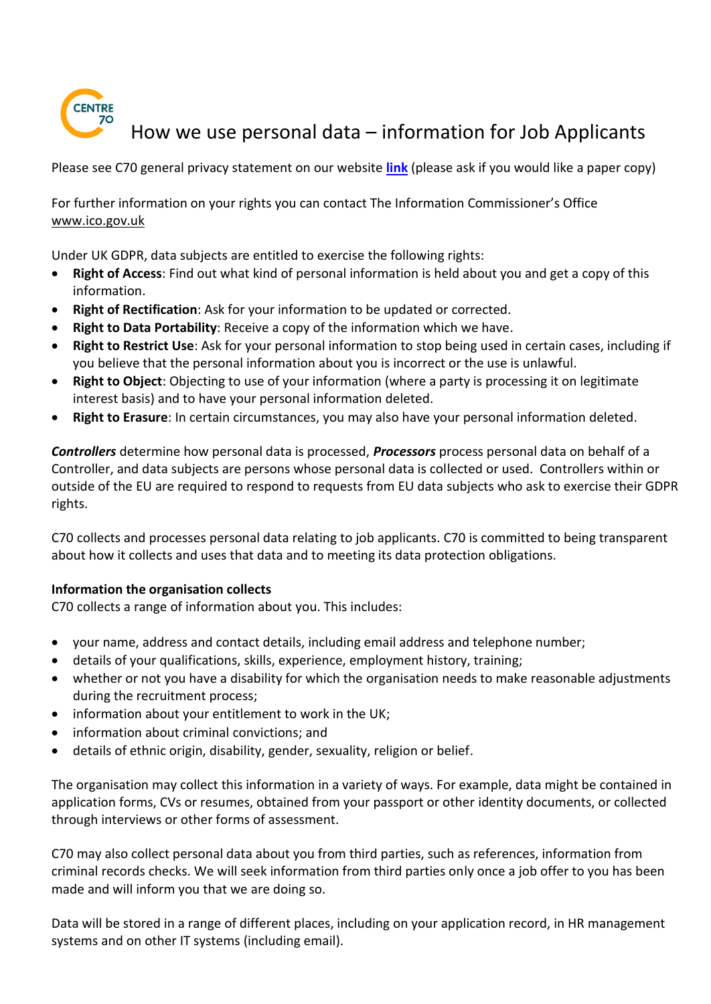

# How we use personal data – information for Job Applicants

Please see C70 general privacy statement on our website **[link](https://centre70.org.uk/assets/documents/privacy-statement-in-use)** (please ask if you would like a paper copy)

For further information on your rights you can contact The Information Commissioner's Office [www.ico.gov.uk](http://www.ico.gov.uk/) 

Under UK GDPR, data subjects are entitled to exercise the following rights:

- **Right of Access**: Find out what kind of personal information is held about you and get a copy of this information.
- **Right of Rectification**: Ask for your information to be updated or corrected.
- **Right to Data Portability**: Receive a copy of the information which we have.
- **Right to Restrict Use**: Ask for your personal information to stop being used in certain cases, including if you believe that the personal information about you is incorrect or the use is unlawful.
- **Right to Object**: Objecting to use of your information (where a party is processing it on legitimate interest basis) and to have your personal information deleted.
- **Right to Erasure**: In certain circumstances, you may also have your personal information deleted.

*Controllers* determine how personal data is processed, *Processors* process personal data on behalf of a Controller, and data subjects are persons whose personal data is collected or used. Controllers within or outside of the EU are required to respond to requests from EU data subjects who ask to exercise their GDPR rights.

C70 collects and processes personal data relating to job applicants. C70 is committed to being transparent about how it collects and uses that data and to meeting its data protection obligations.

#### **Information the organisation collects**

C70 collects a range of information about you. This includes:

- your name, address and contact details, including email address and telephone number;
- details of your qualifications, skills, experience, employment history, training;
- whether or not you have a disability for which the organisation needs to make reasonable adjustments during the recruitment process;
- information about your entitlement to work in the UK;
- information about criminal convictions; and
- details of ethnic origin, disability, gender, sexuality, religion or belief.

The organisation may collect this information in a variety of ways. For example, data might be contained in application forms, CVs or resumes, obtained from your passport or other identity documents, or collected through interviews or other forms of assessment.

C70 may also collect personal data about you from third parties, such as references, information from criminal records checks. We will seek information from third parties only once a job offer to you has been made and will inform you that we are doing so.

Data will be stored in a range of different places, including on your application record, in HR management systems and on other IT systems (including email).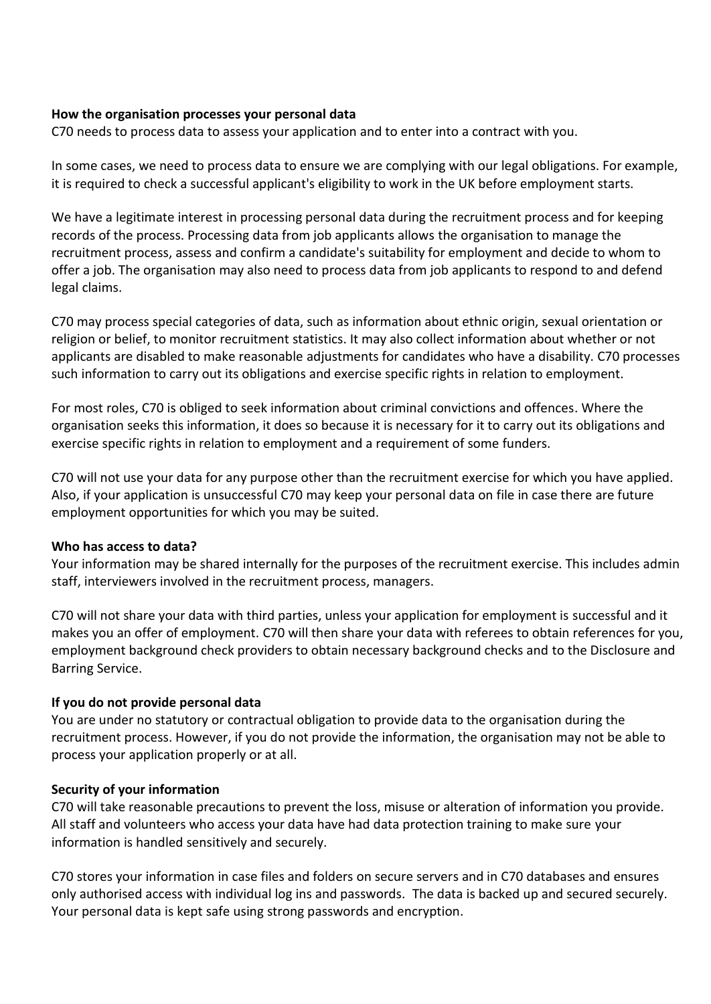#### **How the organisation processes your personal data**

C70 needs to process data to assess your application and to enter into a contract with you.

In some cases, we need to process data to ensure we are complying with our legal obligations. For example, it is required to check a successful applicant's eligibility to work in the UK before employment starts.

We have a legitimate interest in processing personal data during the recruitment process and for keeping records of the process. Processing data from job applicants allows the organisation to manage the recruitment process, assess and confirm a candidate's suitability for employment and decide to whom to offer a job. The organisation may also need to process data from job applicants to respond to and defend legal claims.

C70 may process special categories of data, such as information about ethnic origin, sexual orientation or religion or belief, to monitor recruitment statistics. It may also collect information about whether or not applicants are disabled to make reasonable adjustments for candidates who have a disability. C70 processes such information to carry out its obligations and exercise specific rights in relation to employment.

For most roles, C70 is obliged to seek information about criminal convictions and offences. Where the organisation seeks this information, it does so because it is necessary for it to carry out its obligations and exercise specific rights in relation to employment and a requirement of some funders.

C70 will not use your data for any purpose other than the recruitment exercise for which you have applied. Also, if your application is unsuccessful C70 may keep your personal data on file in case there are future employment opportunities for which you may be suited.

#### **Who has access to data?**

Your information may be shared internally for the purposes of the recruitment exercise. This includes admin staff, interviewers involved in the recruitment process, managers.

C70 will not share your data with third parties, unless your application for employment is successful and it makes you an offer of employment. C70 will then share your data with referees to obtain references for you, employment background check providers to obtain necessary background checks and to the Disclosure and Barring Service.

#### **If you do not provide personal data**

You are under no statutory or contractual obligation to provide data to the organisation during the recruitment process. However, if you do not provide the information, the organisation may not be able to process your application properly or at all.

#### **Security of your information**

C70 will take reasonable precautions to prevent the loss, misuse or alteration of information you provide. All staff and volunteers who access your data have had data protection training to make sure your information is handled sensitively and securely.

C70 stores your information in case files and folders on secure servers and in C70 databases and ensures only authorised access with individual log ins and passwords. The data is backed up and secured securely. Your personal data is kept safe using strong passwords and encryption.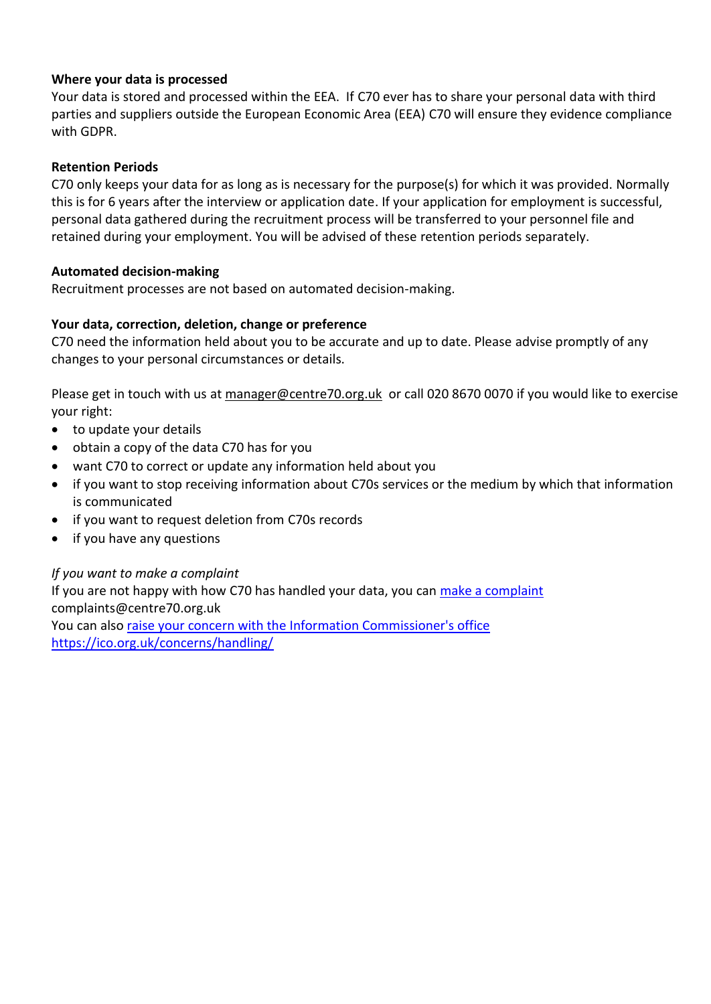#### **Where your data is processed**

Your data is stored and processed within the EEA. If C70 ever has to share your personal data with third parties and suppliers outside the European Economic Area (EEA) C70 will ensure they evidence compliance with GDPR.

#### **Retention Periods**

C70 only keeps your data for as long as is necessary for the purpose(s) for which it was provided. Normally this is for 6 years after the interview or application date. If your application for employment is successful, personal data gathered during the recruitment process will be transferred to your personnel file and retained during your employment. You will be advised of these retention periods separately.

#### **Automated decision-making**

Recruitment processes are not based on automated decision-making.

#### **Your data, correction, deletion, change or preference**

C70 need the information held about you to be accurate and up to date. Please advise promptly of any changes to your personal circumstances or details.

Please get in touch with us at [manager@centre70.org.uk](mailto:manager@centre70.org.uk) or call 020 8670 0070 if you would like to exercise your right:

- to update your details
- obtain a copy of the data C70 has for you
- want C70 to correct or update any information held about you
- if you want to stop receiving information about C70s services or the medium by which that information is communicated
- if you want to request deletion from C70s records
- if you have any questions

#### *If you want to make a complaint*

If you are not happy with how C70 has handled your data, you can [make a complaint](mailto:complaints@centre70.org.uk) complaints@centre70.org.uk

You can also [raise your concern with the Information Commissioner's office](https://ico.org.uk/concerns/handling/) <https://ico.org.uk/concerns/handling/>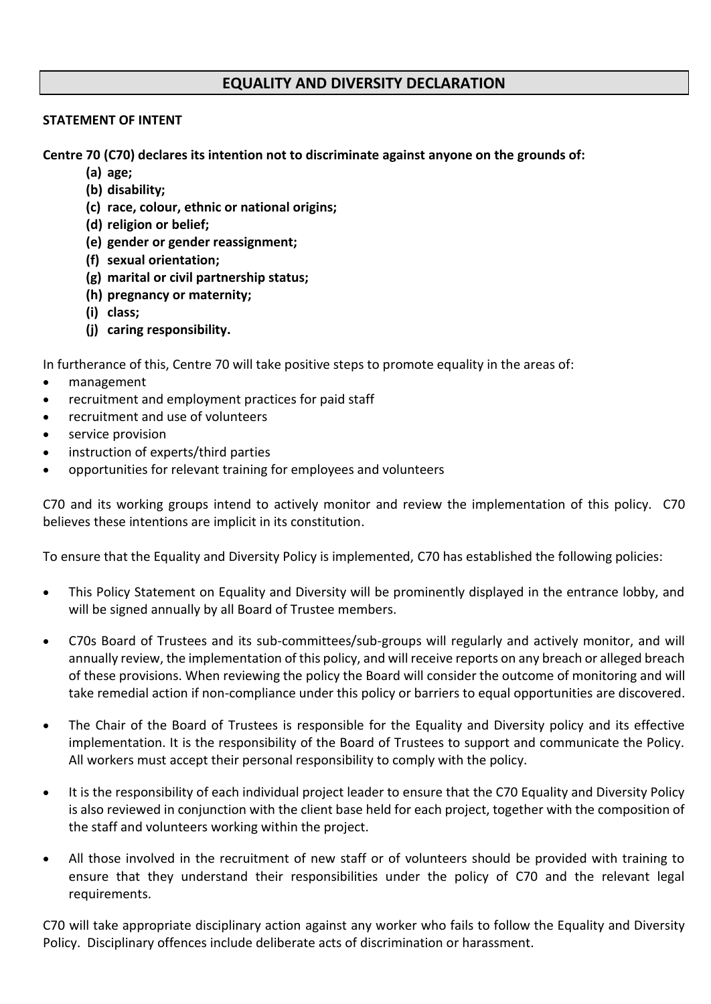#### **EQUALITY AND DIVERSITY DECLARATION**

#### **STATEMENT OF INTENT**

**Centre 70 (C70) declares its intention not to discriminate against anyone on the grounds of:**

- **(a) age;**
- **(b) disability;**
- **(c) race, colour, ethnic or national origins;**
- **(d) religion or belief;**
- **(e) gender or gender reassignment;**
- **(f) sexual orientation;**
- **(g) marital or civil partnership status;**
- **(h) pregnancy or maternity;**
- **(i) class;**
- **(j) caring responsibility.**

In furtherance of this, Centre 70 will take positive steps to promote equality in the areas of:

- management
- recruitment and employment practices for paid staff
- recruitment and use of volunteers
- service provision
- instruction of experts/third parties
- opportunities for relevant training for employees and volunteers

C70 and its working groups intend to actively monitor and review the implementation of this policy. C70 believes these intentions are implicit in its constitution.

To ensure that the Equality and Diversity Policy is implemented, C70 has established the following policies:

- This Policy Statement on Equality and Diversity will be prominently displayed in the entrance lobby, and will be signed annually by all Board of Trustee members.
- C70s Board of Trustees and its sub-committees/sub-groups will regularly and actively monitor, and will annually review, the implementation of this policy, and will receive reports on any breach or alleged breach of these provisions. When reviewing the policy the Board will consider the outcome of monitoring and will take remedial action if non-compliance under this policy or barriers to equal opportunities are discovered.
- The Chair of the Board of Trustees is responsible for the Equality and Diversity policy and its effective implementation. It is the responsibility of the Board of Trustees to support and communicate the Policy. All workers must accept their personal responsibility to comply with the policy.
- It is the responsibility of each individual project leader to ensure that the C70 Equality and Diversity Policy is also reviewed in conjunction with the client base held for each project, together with the composition of the staff and volunteers working within the project.
- All those involved in the recruitment of new staff or of volunteers should be provided with training to ensure that they understand their responsibilities under the policy of C70 and the relevant legal requirements.

C70 will take appropriate disciplinary action against any worker who fails to follow the Equality and Diversity Policy. Disciplinary offences include deliberate acts of discrimination or harassment.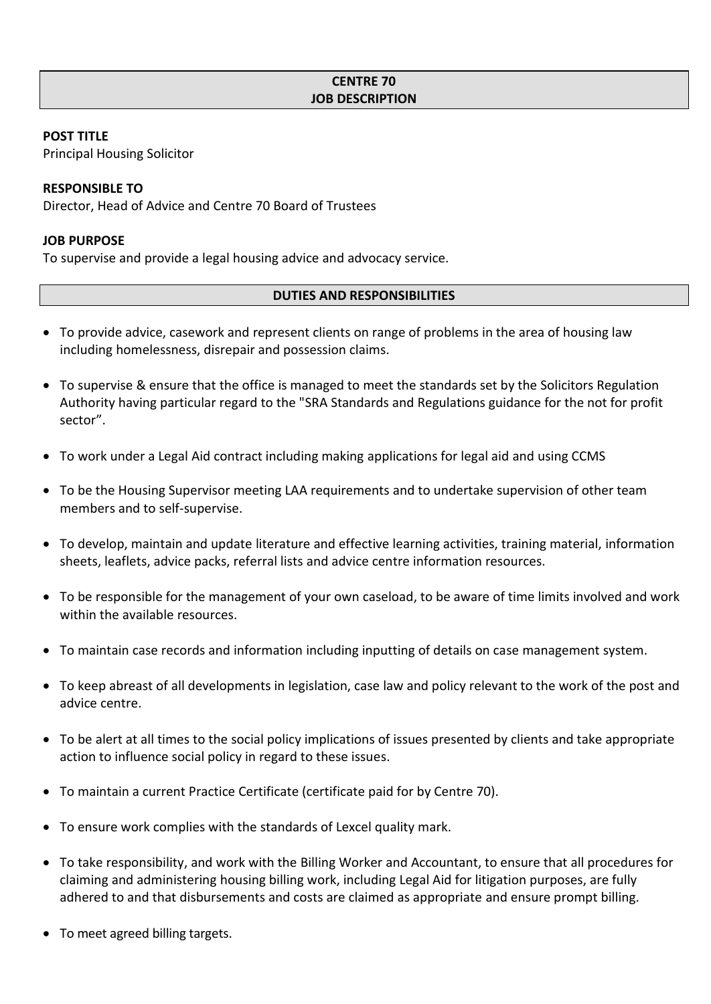#### **POST TITLE**

Principal Housing Solicitor

#### **RESPONSIBLE TO**

Director, Head of Advice and Centre 70 Board of Trustees

#### **JOB PURPOSE**

To supervise and provide a legal housing advice and advocacy service.

#### **DUTIES AND RESPONSIBILITIES**

- To provide advice, casework and represent clients on range of problems in the area of housing law including homelessness, disrepair and possession claims.
- To supervise & ensure that the office is managed to meet the standards set by the Solicitors Regulation Authority having particular regard to the "SRA Standards and Regulations guidance for the not for profit sector".
- To work under a Legal Aid contract including making applications for legal aid and using CCMS
- To be the Housing Supervisor meeting LAA requirements and to undertake supervision of other team members and to self-supervise.
- To develop, maintain and update literature and effective learning activities, training material, information sheets, leaflets, advice packs, referral lists and advice centre information resources.
- To be responsible for the management of your own caseload, to be aware of time limits involved and work within the available resources.
- To maintain case records and information including inputting of details on case management system.
- To keep abreast of all developments in legislation, case law and policy relevant to the work of the post and advice centre.
- To be alert at all times to the social policy implications of issues presented by clients and take appropriate action to influence social policy in regard to these issues.
- To maintain a current Practice Certificate (certificate paid for by Centre 70).
- To ensure work complies with the standards of Lexcel quality mark.
- To take responsibility, and work with the Billing Worker and Accountant, to ensure that all procedures for claiming and administering housing billing work, including Legal Aid for litigation purposes, are fully adhered to and that disbursements and costs are claimed as appropriate and ensure prompt billing.
- To meet agreed billing targets.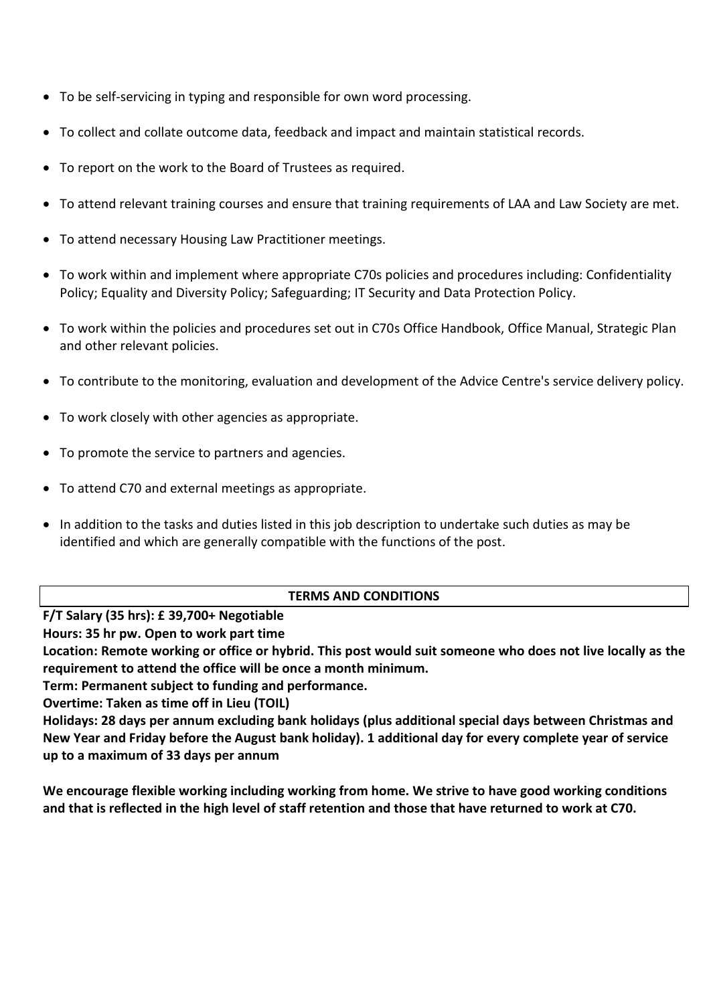- To be self-servicing in typing and responsible for own word processing.
- To collect and collate outcome data, feedback and impact and maintain statistical records.
- To report on the work to the Board of Trustees as required.
- To attend relevant training courses and ensure that training requirements of LAA and Law Society are met.
- To attend necessary Housing Law Practitioner meetings.
- To work within and implement where appropriate C70s policies and procedures including: Confidentiality Policy; Equality and Diversity Policy; Safeguarding; IT Security and Data Protection Policy.
- To work within the policies and procedures set out in C70s Office Handbook, Office Manual, Strategic Plan and other relevant policies.
- To contribute to the monitoring, evaluation and development of the Advice Centre's service delivery policy.
- To work closely with other agencies as appropriate.
- To promote the service to partners and agencies.
- To attend C70 and external meetings as appropriate.
- In addition to the tasks and duties listed in this job description to undertake such duties as may be identified and which are generally compatible with the functions of the post.

#### **TERMS AND CONDITIONS**

**F/T Salary (35 hrs): £ 39,700+ Negotiable**

**Hours: 35 hr pw. Open to work part time**

**Location: Remote working or office or hybrid. This post would suit someone who does not live locally as the requirement to attend the office will be once a month minimum.**

**Term: Permanent subject to funding and performance.**

**Overtime: Taken as time off in Lieu (TOIL)**

**Holidays: 28 days per annum excluding bank holidays (plus additional special days between Christmas and New Year and Friday before the August bank holiday). 1 additional day for every complete year of service up to a maximum of 33 days per annum**

**We encourage flexible working including working from home. We strive to have good working conditions and that is reflected in the high level of staff retention and those that have returned to work at C70.**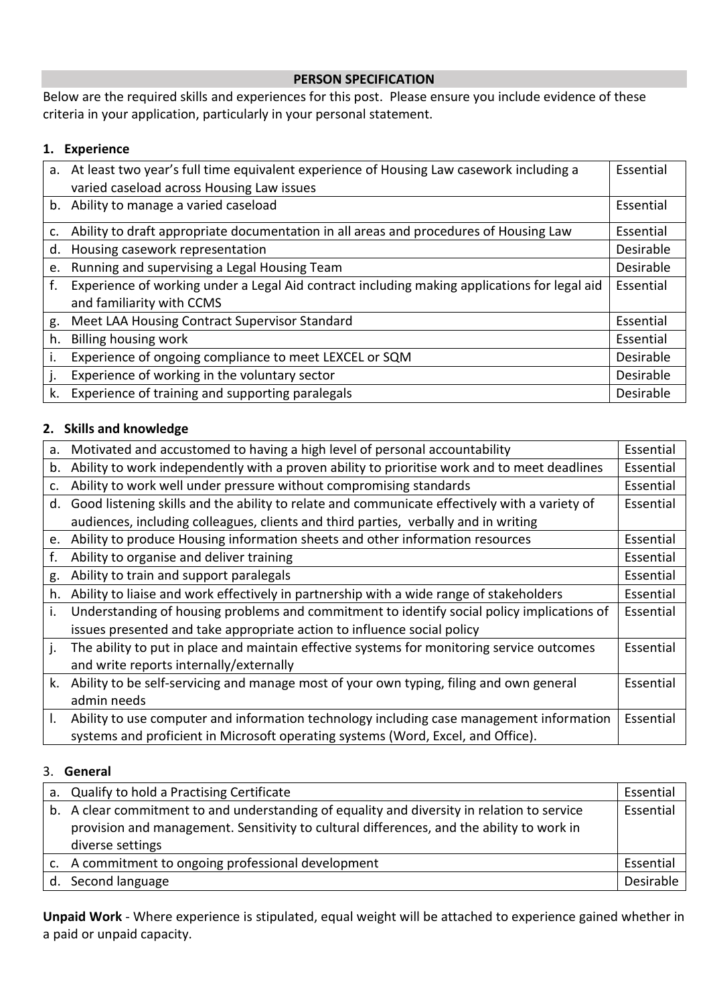#### **PERSON SPECIFICATION**

Below are the required skills and experiences for this post. Please ensure you include evidence of these criteria in your application, particularly in your personal statement.

#### **1. Experience**

|    | a. At least two year's full time equivalent experience of Housing Law casework including a   | Essential |
|----|----------------------------------------------------------------------------------------------|-----------|
|    | varied caseload across Housing Law issues                                                    |           |
|    | b. Ability to manage a varied caseload                                                       | Essential |
| c. | Ability to draft appropriate documentation in all areas and procedures of Housing Law        | Essential |
| d. | Housing casework representation                                                              | Desirable |
| e. | Running and supervising a Legal Housing Team                                                 | Desirable |
| f. | Experience of working under a Legal Aid contract including making applications for legal aid | Essential |
|    | and familiarity with CCMS                                                                    |           |
| g. | Meet LAA Housing Contract Supervisor Standard                                                | Essential |
| h. | Billing housing work                                                                         | Essential |
|    | Experience of ongoing compliance to meet LEXCEL or SQM                                       | Desirable |
| j. | Experience of working in the voluntary sector                                                | Desirable |
| k. | Experience of training and supporting paralegals                                             | Desirable |

#### **2. Skills and knowledge**

| а. | Motivated and accustomed to having a high level of personal accountability                    | Essential |
|----|-----------------------------------------------------------------------------------------------|-----------|
|    |                                                                                               |           |
| b. | Ability to work independently with a proven ability to prioritise work and to meet deadlines  | Essential |
| c. | Ability to work well under pressure without compromising standards                            | Essential |
| d. | Good listening skills and the ability to relate and communicate effectively with a variety of | Essential |
|    | audiences, including colleagues, clients and third parties, verbally and in writing           |           |
|    | e. Ability to produce Housing information sheets and other information resources              | Essential |
| f. | Ability to organise and deliver training                                                      | Essential |
| g. | Ability to train and support paralegals                                                       | Essential |
| h. | Ability to liaise and work effectively in partnership with a wide range of stakeholders       | Essential |
| i. | Understanding of housing problems and commitment to identify social policy implications of    | Essential |
|    | issues presented and take appropriate action to influence social policy                       |           |
| j. | The ability to put in place and maintain effective systems for monitoring service outcomes    | Essential |
|    | and write reports internally/externally                                                       |           |
| k. | Ability to be self-servicing and manage most of your own typing, filing and own general       | Essential |
|    | admin needs                                                                                   |           |
| I. | Ability to use computer and information technology including case management information      | Essential |
|    | systems and proficient in Microsoft operating systems (Word, Excel, and Office).              |           |

#### 3. **General**

| a. Qualify to hold a Practising Certificate                                                                                                                                                                  | Essential |
|--------------------------------------------------------------------------------------------------------------------------------------------------------------------------------------------------------------|-----------|
| b. A clear commitment to and understanding of equality and diversity in relation to service<br>provision and management. Sensitivity to cultural differences, and the ability to work in<br>diverse settings | Essential |
| c. A commitment to ongoing professional development                                                                                                                                                          | Essential |
| d. Second language                                                                                                                                                                                           | Desirable |

**Unpaid Work** - Where experience is stipulated, equal weight will be attached to experience gained whether in a paid or unpaid capacity.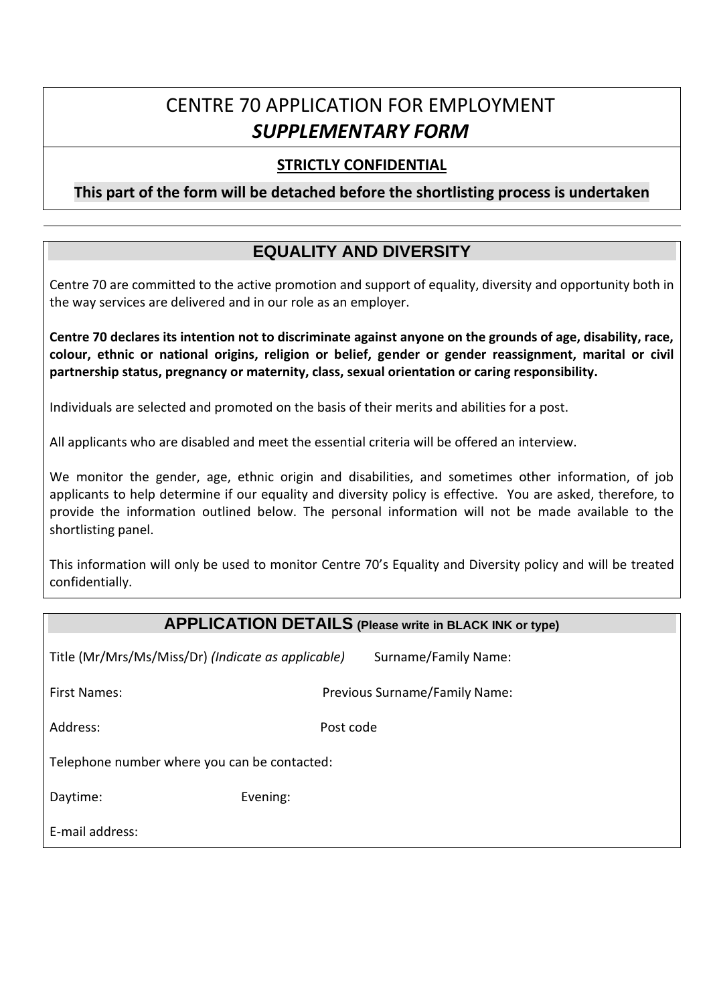# CENTRE 70 APPLICATION FOR EMPLOYMENT *SUPPLEMENTARY FORM*

#### **STRICTLY CONFIDENTIAL**

**This part of the form will be detached before the shortlisting process is undertaken**

### **EQUALITY AND DIVERSITY**

Centre 70 are committed to the active promotion and support of equality, diversity and opportunity both in the way services are delivered and in our role as an employer.

**Centre 70 declares its intention not to discriminate against anyone on the grounds of age, disability, race, colour, ethnic or national origins, religion or belief, gender or gender reassignment, marital or civil partnership status, pregnancy or maternity, class, sexual orientation or caring responsibility.**

Individuals are selected and promoted on the basis of their merits and abilities for a post.

All applicants who are disabled and meet the essential criteria will be offered an interview.

We monitor the gender, age, ethnic origin and disabilities, and sometimes other information, of job applicants to help determine if our equality and diversity policy is effective. You are asked, therefore, to provide the information outlined below. The personal information will not be made available to the shortlisting panel.

This information will only be used to monitor Centre 70's Equality and Diversity policy and will be treated confidentially.

#### **APPLICATION DETAILS (Please write in BLACK INK or type)**

Title (Mr/Mrs/Ms/Miss/Dr) *(Indicate as applicable)* Surname/Family Name:

First Names: Previous Surname/Family Name:

Address: Post code

Telephone number where you can be contacted:

Daytime: Evening:

E-mail address: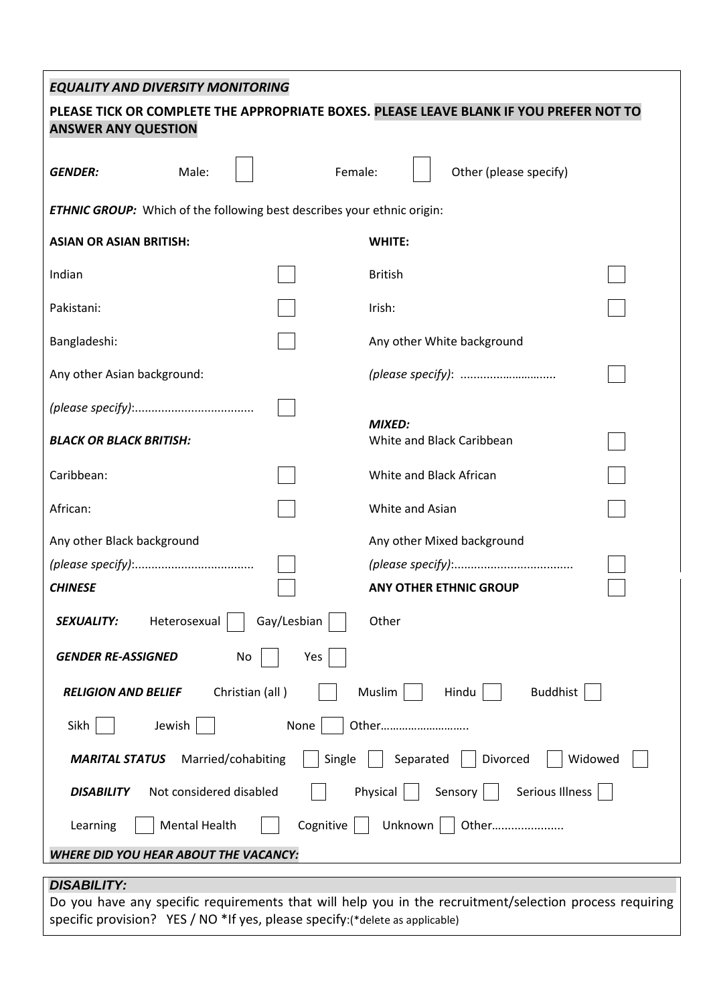#### *EQUALITY AND DIVERSITY MONITORING*

# **PLEASE TICK OR COMPLETE THE APPROPRIATE BOXES. PLEASE LEAVE BLANK IF YOU PREFER NOT TO ANSWER ANY QUESTION GENDER:** Male: | | Female: | Other (please specify) *ETHNIC GROUP:* Which of the following best describes your ethnic origin: **ASIAN OR ASIAN BRITISH: WHITE:** Indian British Pakistani: Il existenti in the late of the late of the late of the late of the late of the late of the late of the late of the late of the late of the late of the late of the late of the late of the late of the late of the Bangladeshi:  $\begin{vmatrix} \cdot & \cdot & \cdot \\ \cdot & \cdot & \cdot \\ \cdot & \cdot & \cdot \end{vmatrix}$  Any other White background Any other Asian background: *(please specify)*: .............…………..... *(please specify)*:.................................... *MIXED: BLACK OR BLACK BRITISH:* White and Black Caribbean Caribbean: White and Black African African: White and Asian Any other Black background Any other Mixed background *(please specify)*:.................................... *(please specify)*:.................................... *CHINESE* **ANY OTHER ETHNIC GROUP SEXUALITY:** Heterosexual Gay/Lesbian | Other *GENDER RE-ASSIGNED* No | Yes **RELIGION AND BELIEF** Christian (all )  $\begin{vmatrix} \cdot & \cdot & \cdot \\ \cdot & \cdot & \cdot \\ \cdot & \cdot & \cdot \end{vmatrix}$  Hindu  $\begin{vmatrix} \cdot & \cdot & \cdot \\ \cdot & \cdot & \cdot \\ \cdot & \cdot & \cdot \end{vmatrix}$  Buddhist Sikh | Jewish | None | Other………………………… **MARITAL STATUS** Married/cohabiting | Single | Separated | Divorced | Widowed

*DISABILITY:* Do you have any specific requirements that will help you in the recruitment/selection process requiring specific provision? YES / NO \*If yes, please specify:(\*delete as applicable)

**DISABILITY** Not considered disabled  $\begin{vmatrix} \cdot & \cdot & \cdot \\ \cdot & \cdot & \cdot \\ \cdot & \cdot & \cdot & \cdot \end{vmatrix}$  Sensory  $\begin{vmatrix} \cdot & \cdot & \cdot & \cdot \\ \cdot & \cdot & \cdot & \cdot \\ \cdot & \cdot & \cdot & \cdot \end{vmatrix}$ 

Learning  $\|\cdot\|$  Mental Health  $\|\cdot\|$  Cognitive  $\|\cdot\|$  Unknown  $\|\cdot\|$  Other…...................

*WHERE DID YOU HEAR ABOUT THE VACANCY:*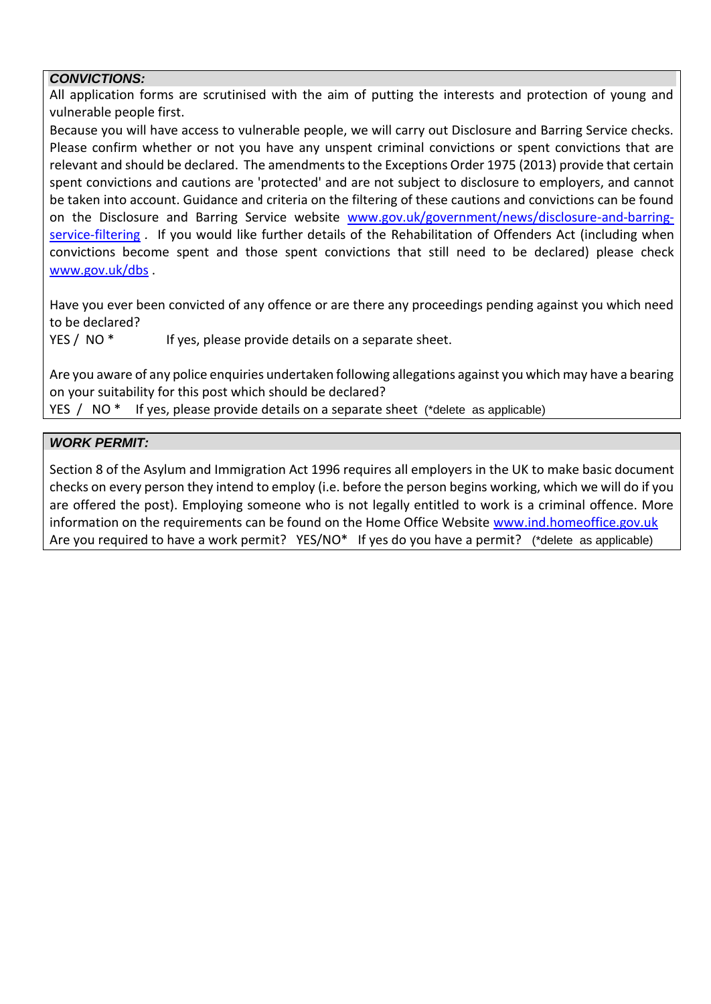#### *CONVICTIONS:*

All application forms are scrutinised with the aim of putting the interests and protection of young and vulnerable people first.

Because you will have access to vulnerable people, we will carry out Disclosure and Barring Service checks. Please confirm whether or not you have any unspent criminal convictions or spent convictions that are relevant and should be declared. The amendments to the Exceptions Order 1975 (2013) provide that certain spent convictions and cautions are 'protected' and are not subject to disclosure to employers, and cannot be taken into account. Guidance and criteria on the filtering of these cautions and convictions can be found on the Disclosure and Barring Service website [www.gov.uk/government/news/disclosure-and-barring](http://www.gov.uk/government/news/disclosure-and-barring-service-filtering)[service-filtering](http://www.gov.uk/government/news/disclosure-and-barring-service-filtering) *.* If you would like further details of the Rehabilitation of Offenders Act (including when convictions become spent and those spent convictions that still need to be declared) please check [www.gov.uk/dbs](http://www.gov.uk/dbs) .

Have you ever been convicted of any offence or are there any proceedings pending against you which need to be declared?

YES / NO<sup>\*</sup> If yes, please provide details on a separate sheet.

Are you aware of any police enquiries undertaken following allegations against you which may have a bearing on your suitability for this post which should be declared?

YES / NO \* If yes, please provide details on a separate sheet (\*delete as applicable)

#### *WORK PERMIT:*

Section 8 of the Asylum and Immigration Act 1996 requires all employers in the UK to make basic document checks on every person they intend to employ (i.e. before the person begins working, which we will do if you are offered the post). Employing someone who is not legally entitled to work is a criminal offence. More information on the requirements can be found on the Home Office Website [www.ind.homeoffice.gov.uk](http://www.ind.homeoffice.gov.uk/) Are you required to have a work permit? YES/NO\* If yes do you have a permit? (\*delete as applicable)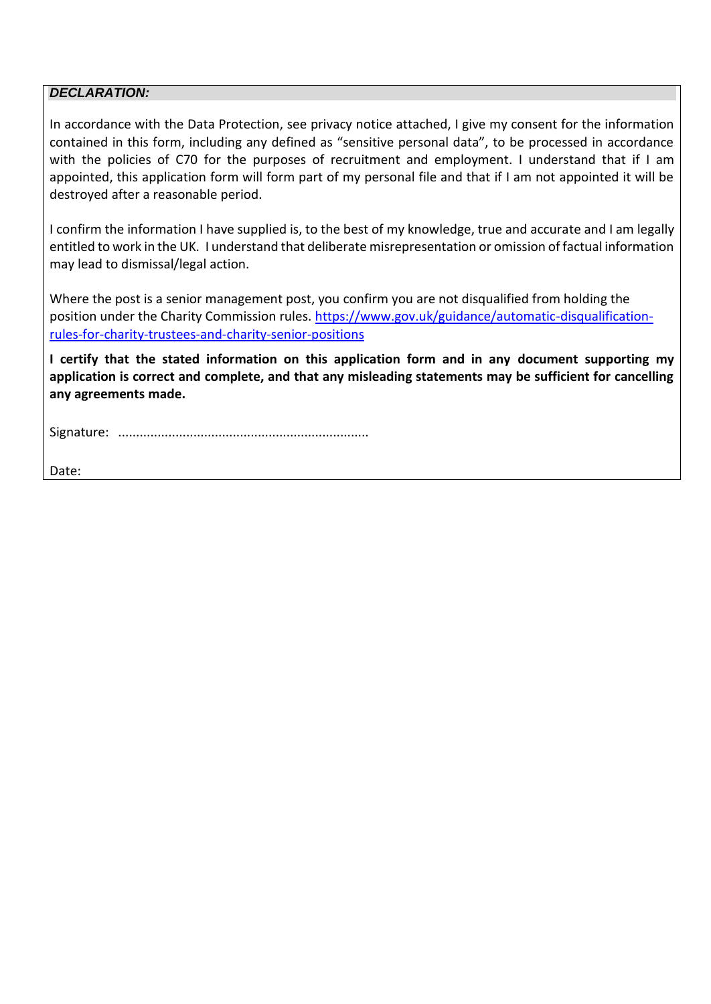#### *DECLARATION:*

In accordance with the Data Protection, see privacy notice attached, I give my consent for the information contained in this form, including any defined as "sensitive personal data", to be processed in accordance with the policies of C70 for the purposes of recruitment and employment. I understand that if I am appointed, this application form will form part of my personal file and that if I am not appointed it will be destroyed after a reasonable period.

I confirm the information I have supplied is, to the best of my knowledge, true and accurate and I am legally entitled to work in the UK. I understand that deliberate misrepresentation or omission of factual information may lead to dismissal/legal action.

Where the post is a senior management post, you confirm you are not disqualified from holding the position under the Charity Commission rules. [https://www.gov.uk/guidance/automatic-disqualification](https://www.gov.uk/guidance/automatic-disqualification-rules-for-charity-trustees-and-charity-senior-positions)[rules-for-charity-trustees-and-charity-senior-positions](https://www.gov.uk/guidance/automatic-disqualification-rules-for-charity-trustees-and-charity-senior-positions)

**I certify that the stated information on this application form and in any document supporting my application is correct and complete, and that any misleading statements may be sufficient for cancelling any agreements made.**

Signature: ......................................................................

Date: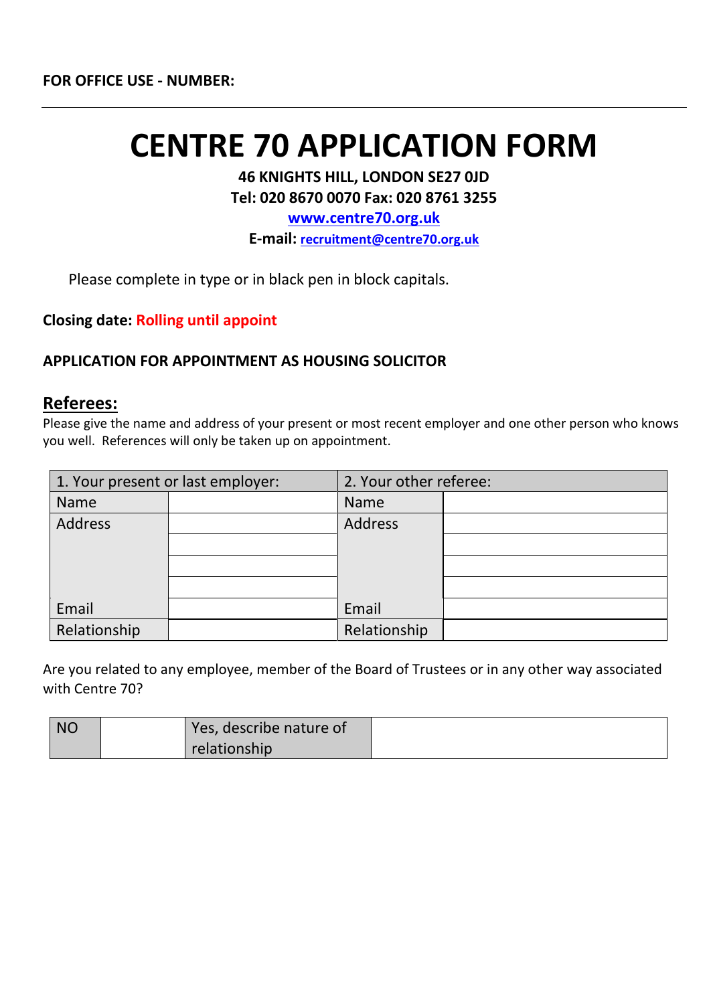# **CENTRE 70 APPLICATION FORM**

**46 KNIGHTS HILL, LONDON SE27 0JD Tel: 020 8670 0070 Fax: 020 8761 3255**

**[www.centre70.org.uk](http://www.centre70.org.uk/)**

**E-mail: [recruitment@centre70.org.uk](mailto:recruitment@centre70.org.uk)**

Please complete in type or in black pen in block capitals.

**Closing date: Rolling until appoint** 

#### **APPLICATION FOR APPOINTMENT AS HOUSING SOLICITOR**

#### **Referees:**

Please give the name and address of your present or most recent employer and one other person who knows you well. References will only be taken up on appointment.

|                | 1. Your present or last employer: | 2. Your other referee: |  |
|----------------|-----------------------------------|------------------------|--|
| <b>Name</b>    |                                   | <b>Name</b>            |  |
| <b>Address</b> |                                   | Address                |  |
|                |                                   |                        |  |
|                |                                   |                        |  |
|                |                                   |                        |  |
| Email          |                                   | Email                  |  |
| Relationship   |                                   | Relationship           |  |

Are you related to any employee, member of the Board of Trustees or in any other way associated with Centre 70?

| <b>NO</b> | Yes, describe nature of |  |
|-----------|-------------------------|--|
|           | relationship            |  |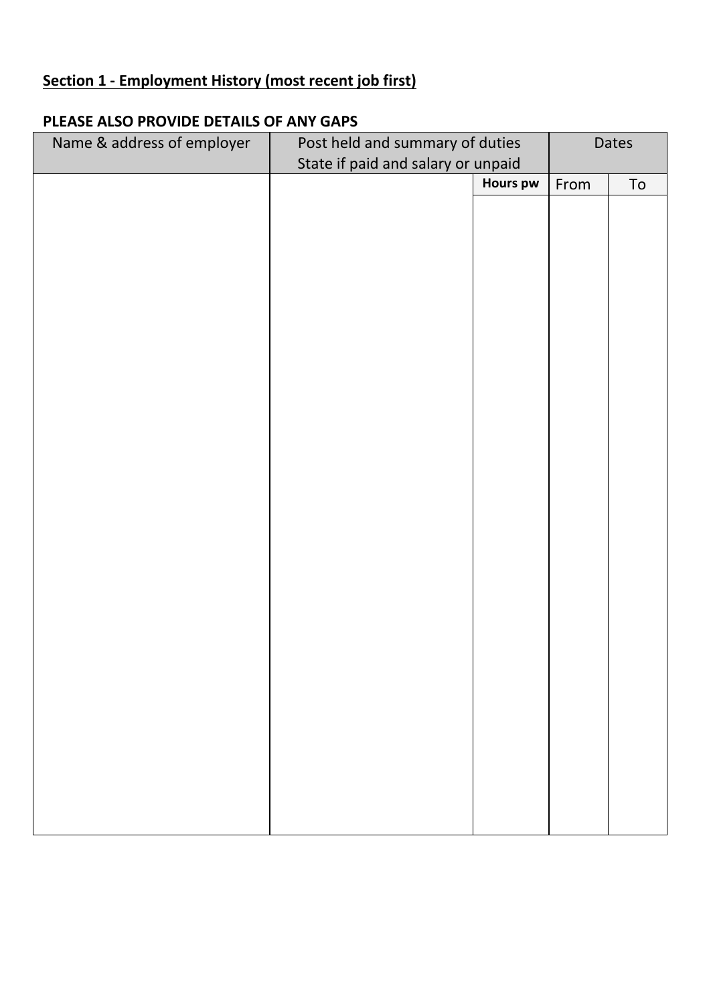## **Section 1 - Employment History (most recent job first)**

#### **PLEASE ALSO PROVIDE DETAILS OF ANY GAPS**

| Name & address of employer | Post held and summary of duties    |                 | Dates |            |
|----------------------------|------------------------------------|-----------------|-------|------------|
|                            | State if paid and salary or unpaid |                 |       |            |
|                            |                                    | <b>Hours pw</b> | From  | ${\sf To}$ |
|                            |                                    |                 |       |            |
|                            |                                    |                 |       |            |
|                            |                                    |                 |       |            |
|                            |                                    |                 |       |            |
|                            |                                    |                 |       |            |
|                            |                                    |                 |       |            |
|                            |                                    |                 |       |            |
|                            |                                    |                 |       |            |
|                            |                                    |                 |       |            |
|                            |                                    |                 |       |            |
|                            |                                    |                 |       |            |
|                            |                                    |                 |       |            |
|                            |                                    |                 |       |            |
|                            |                                    |                 |       |            |
|                            |                                    |                 |       |            |
|                            |                                    |                 |       |            |
|                            |                                    |                 |       |            |
|                            |                                    |                 |       |            |
|                            |                                    |                 |       |            |
|                            |                                    |                 |       |            |
|                            |                                    |                 |       |            |
|                            |                                    |                 |       |            |
|                            |                                    |                 |       |            |
|                            |                                    |                 |       |            |
|                            |                                    |                 |       |            |
|                            |                                    |                 |       |            |
|                            |                                    |                 |       |            |
|                            |                                    |                 |       |            |
|                            |                                    |                 |       |            |
|                            |                                    |                 |       |            |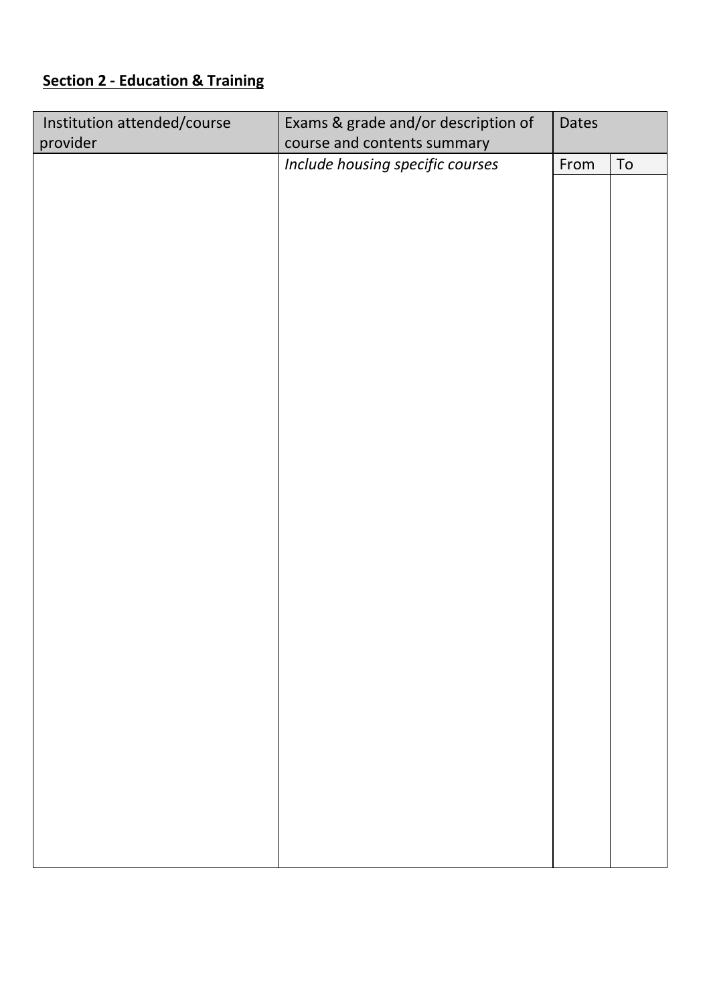# **Section 2 - Education & Training**

| Institution attended/course | Exams & grade and/or description of | <b>Dates</b> |    |
|-----------------------------|-------------------------------------|--------------|----|
| provider                    | course and contents summary         |              |    |
|                             | Include housing specific courses    | From         | To |
|                             |                                     |              |    |
|                             |                                     |              |    |
|                             |                                     |              |    |
|                             |                                     |              |    |
|                             |                                     |              |    |
|                             |                                     |              |    |
|                             |                                     |              |    |
|                             |                                     |              |    |
|                             |                                     |              |    |
|                             |                                     |              |    |
|                             |                                     |              |    |
|                             |                                     |              |    |
|                             |                                     |              |    |
|                             |                                     |              |    |
|                             |                                     |              |    |
|                             |                                     |              |    |
|                             |                                     |              |    |
|                             |                                     |              |    |
|                             |                                     |              |    |
|                             |                                     |              |    |
|                             |                                     |              |    |
|                             |                                     |              |    |
|                             |                                     |              |    |
|                             |                                     |              |    |
|                             |                                     |              |    |
|                             |                                     |              |    |
|                             |                                     |              |    |
|                             |                                     |              |    |
|                             |                                     |              |    |
|                             |                                     |              |    |
|                             |                                     |              |    |
|                             |                                     |              |    |
|                             |                                     |              |    |